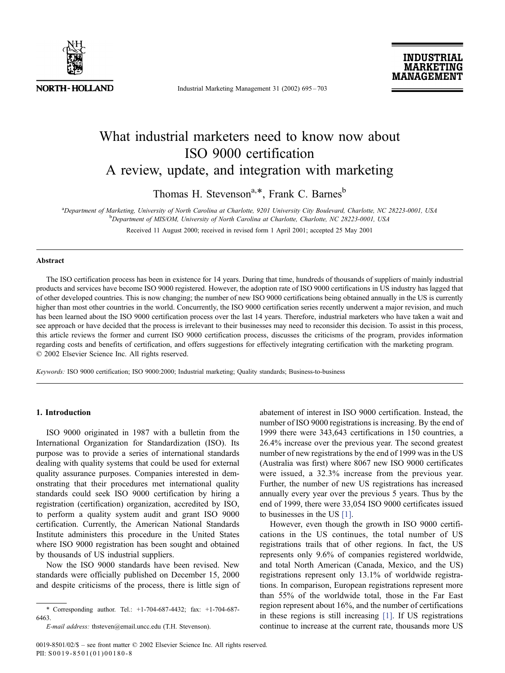

Industrial Marketing Management 31 (2002) 695 – 703

## What industrial marketers need to know now about ISO 9000 certification A review, update, and integration with marketing

Thomas H. Stevenson<sup>a,\*</sup>, Frank C. Barnes<sup>b</sup>

a<br>Department of Marketing, University of North Carolina at Charlotte, 9201 University City Boulevard, Charlotte, NC 28223-0001, USA<br>Department of MIS/OM University of North Carolina at Charlotte, Charlotte, NC 28223-0001, <sup>b</sup>Department of MIS/OM, University of North Carolina at Charlotte, Charlotte, NC 28223-0001, USA

Received 11 August 2000; received in revised form 1 April 2001; accepted 25 May 2001

### Abstract

The ISO certification process has been in existence for 14 years. During that time, hundreds of thousands of suppliers of mainly industrial products and services have become ISO 9000 registered. However, the adoption rate of ISO 9000 certifications in US industry has lagged that of other developed countries. This is now changing; the number of new ISO 9000 certifications being obtained annually in the US is currently higher than most other countries in the world. Concurrently, the ISO 9000 certification series recently underwent a major revision, and much has been learned about the ISO 9000 certification process over the last 14 years. Therefore, industrial marketers who have taken a wait and see approach or have decided that the process is irrelevant to their businesses may need to reconsider this decision. To assist in this process, this article reviews the former and current ISO 9000 certification process, discusses the criticisms of the program, provides information regarding costs and benefits of certification, and offers suggestions for effectively integrating certification with the marketing program.  $© 2002 Elsevier Science Inc. All rights reserved.$ 

Keywords: ISO 9000 certification; ISO 9000:2000; Industrial marketing; Quality standards; Business-to-business

#### 1. Introduction

ISO 9000 originated in 1987 with a bulletin from the International Organization for Standardization (ISO). Its purpose was to provide a series of international standards dealing with quality systems that could be used for external quality assurance purposes. Companies interested in demonstrating that their procedures met international quality standards could seek ISO 9000 certification by hiring a registration (certification) organization, accredited by ISO, to perform a quality system audit and grant ISO 9000 certification. Currently, the American National Standards Institute administers this procedure in the United States where ISO 9000 registration has been sought and obtained by thousands of US industrial suppliers.

Now the ISO 9000 standards have been revised. New standards were officially published on December 15, 2000 and despite criticisms of the process, there is little sign of

\* Corresponding author. Tel.: +1-704-687-4432; fax: +1-704-687- 6463.

abatement of interest in ISO 9000 certification. Instead, the number of ISO 9000 registrations is increasing. By the end of 1999 there were 343,643 certifications in 150 countries, a 26.4% increase over the previous year. The second greatest number of new registrations by the end of 1999 was in the US (Australia was first) where 8067 new ISO 9000 certificates were issued, a 32.3% increase from the previous year. Further, the number of new US registrations has increased annually every year over the previous 5 years. Thus by the end of 1999, there were 33,054 ISO 9000 certificates issued to businesses in the US [\[1\].](#page--1-0)

However, even though the growth in ISO 9000 certifications in the US continues, the total number of US registrations trails that of other regions. In fact, the US represents only 9.6% of companies registered worldwide, and total North American (Canada, Mexico, and the US) registrations represent only 13.1% of worldwide registrations. In comparison, European registrations represent more than 55% of the worldwide total, those in the Far East region represent about 16%, and the number of certifications in these regions is still increasing [\[1\].](#page--1-0) If US registrations continue to increase at the current rate, thousands more US

E-mail address: thsteven@email.uncc.edu (T.H. Stevenson).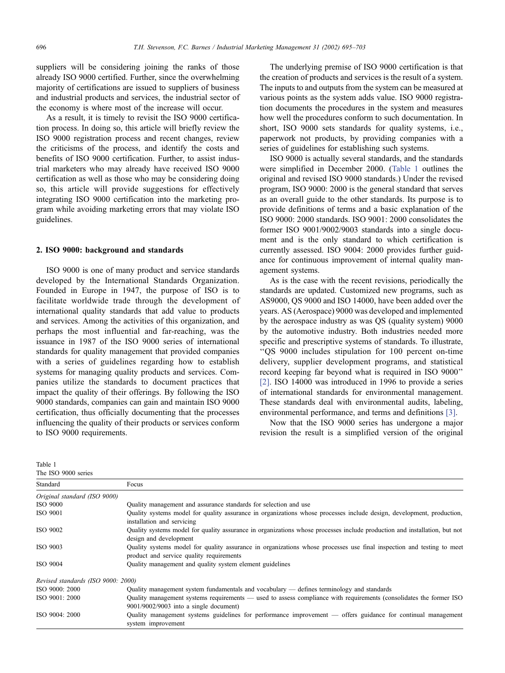suppliers will be considering joining the ranks of those already ISO 9000 certified. Further, since the overwhelming majority of certifications are issued to suppliers of business and industrial products and services, the industrial sector of the economy is where most of the increase will occur.

As a result, it is timely to revisit the ISO 9000 certification process. In doing so, this article will briefly review the ISO 9000 registration process and recent changes, review the criticisms of the process, and identify the costs and benefits of ISO 9000 certification. Further, to assist industrial marketers who may already have received ISO 9000 certification as well as those who may be considering doing so, this article will provide suggestions for effectively integrating ISO 9000 certification into the marketing program while avoiding marketing errors that may violate ISO guidelines.

#### 2. ISO 9000: background and standards

ISO 9000 is one of many product and service standards developed by the International Standards Organization. Founded in Europe in 1947, the purpose of ISO is to facilitate worldwide trade through the development of international quality standards that add value to products and services. Among the activities of this organization, and perhaps the most influential and far-reaching, was the issuance in 1987 of the ISO 9000 series of international standards for quality management that provided companies with a series of guidelines regarding how to establish systems for managing quality products and services. Companies utilize the standards to document practices that impact the quality of their offerings. By following the ISO 9000 standards, companies can gain and maintain ISO 9000 certification, thus officially documenting that the processes influencing the quality of their products or services conform to ISO 9000 requirements.

Table 1

| The underlying premise of ISO 9000 certification is that         |
|------------------------------------------------------------------|
| the creation of products and services is the result of a system. |
| The inputs to and outputs from the system can be measured at     |
| various points as the system adds value. ISO 9000 registra-      |
| tion documents the procedures in the system and measures         |
| how well the procedures conform to such documentation. In        |
| short, ISO 9000 sets standards for quality systems, i.e.,        |
| paperwork not products, by providing companies with a            |
| series of guidelines for establishing such systems.              |
|                                                                  |

ISO 9000 is actually several standards, and the standards were simplified in December 2000. (Table 1 outlines the original and revised ISO 9000 standards.) Under the revised program, ISO 9000: 2000 is the general standard that serves as an overall guide to the other standards. Its purpose is to provide definitions of terms and a basic explanation of the ISO 9000: 2000 standards. ISO 9001: 2000 consolidates the former ISO 9001/9002/9003 standards into a single document and is the only standard to which certification is currently assessed. ISO 9004: 2000 provides further guidance for continuous improvement of internal quality management systems.

As is the case with the recent revisions, periodically the standards are updated. Customized new programs, such as AS9000, QS 9000 and ISO 14000, have been added over the years. AS (Aerospace) 9000 was developed and implemented by the aerospace industry as was QS (quality system) 9000 by the automotive industry. Both industries needed more specific and prescriptive systems of standards. To illustrate, ''QS 9000 includes stipulation for 100 percent on-time delivery, supplier development programs, and statistical record keeping far beyond what is required in ISO 9000'' [\[2\].](#page--1-0) ISO 14000 was introduced in 1996 to provide a series of international standards for environmental management. These standards deal with environmental audits, labeling, environmental performance, and terms and definitions [\[3\].](#page--1-0)

Now that the ISO 9000 series has undergone a major revision the result is a simplified version of the original

| The ISO 9000 series                |                                                                                                                                                                   |  |
|------------------------------------|-------------------------------------------------------------------------------------------------------------------------------------------------------------------|--|
| Standard                           | Focus                                                                                                                                                             |  |
| Original standard (ISO 9000)       |                                                                                                                                                                   |  |
| <b>ISO 9000</b>                    | Quality management and assurance standards for selection and use                                                                                                  |  |
| ISO 9001                           | Quality systems model for quality assurance in organizations whose processes include design, development, production,<br>installation and servicing               |  |
| ISO 9002                           | Quality systems model for quality assurance in organizations whose processes include production and installation, but not<br>design and development               |  |
| ISO 9003                           | Quality systems model for quality assurance in organizations whose processes use final inspection and testing to meet<br>product and service quality requirements |  |
| <b>ISO 9004</b>                    | Quality management and quality system element guidelines                                                                                                          |  |
| Revised standards (ISO 9000: 2000) |                                                                                                                                                                   |  |
| ISO 9000: 2000                     | Quality management system fundamentals and vocabulary — defines terminology and standards                                                                         |  |
| ISO 9001: 2000                     | Quality management systems requirements — used to assess compliance with requirements (consolidates the former ISO<br>$9001/9002/9003$ into a single document)    |  |
| ISO 9004: 2000                     | Quality management systems guidelines for performance improvement $-$ offers guidance for continual management<br>system improvement                              |  |